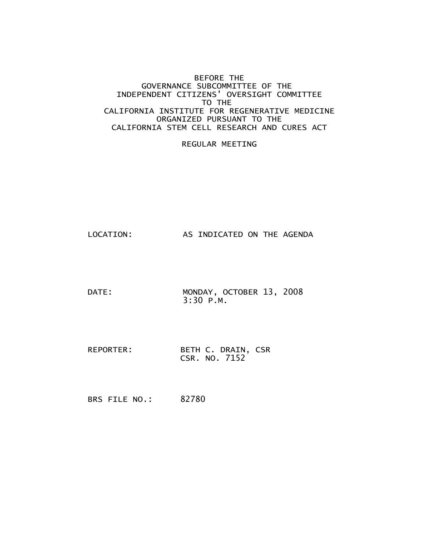#### BEFORE THE GOVERNANCE SUBCOMMITTEE OF THE INDEPENDENT CITIZENS' OVERSIGHT COMMITTEE TO THE CALIFORNIA INSTITUTE FOR REGENERATIVE MEDICINE ORGANIZED PURSUANT TO THE CALIFORNIA STEM CELL RESEARCH AND CURES ACT

#### REGULAR MEETING

LOCATION: AS INDICATED ON THE AGENDA

- DATE: MONDAY, OCTOBER 13, 2008 3:30 P.M.
- REPORTER: BETH C. DRAIN, CSR CSR. NO. 7152

BRS FILE NO.: 82780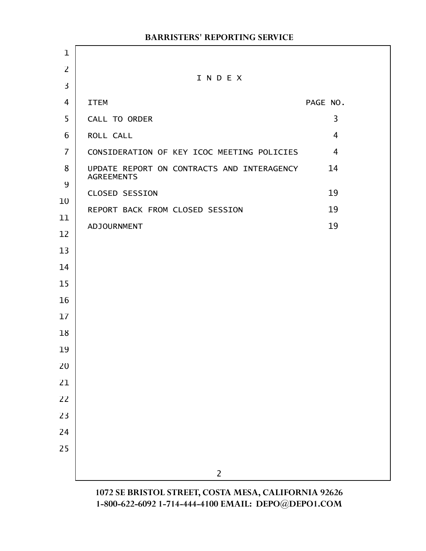|                | <b>BARRISTERS' REPORTING SERVICE</b>                            |                |
|----------------|-----------------------------------------------------------------|----------------|
| $\mathbf 1$    |                                                                 |                |
| $\overline{2}$ | INDEX                                                           |                |
| $\overline{3}$ |                                                                 |                |
| 4              | <b>ITEM</b>                                                     | PAGE NO.       |
| 5              | CALL TO ORDER                                                   | 3              |
| 6              | ROLL CALL                                                       | $\overline{4}$ |
| $\overline{7}$ | CONSIDERATION OF KEY ICOC MEETING POLICIES                      | $\overline{4}$ |
| 8<br>9         | UPDATE REPORT ON CONTRACTS AND INTERAGENCY<br><b>AGREEMENTS</b> | 14             |
| 10             | <b>CLOSED SESSION</b>                                           | 19             |
| 11             | REPORT BACK FROM CLOSED SESSION                                 | 19             |
| 12             | <b>ADJOURNMENT</b>                                              | 19             |
| 13             |                                                                 |                |
| 14             |                                                                 |                |
| 15             |                                                                 |                |
| 16             |                                                                 |                |
| 17             |                                                                 |                |
| 18             |                                                                 |                |
| 19             |                                                                 |                |
| 20             |                                                                 |                |
| 21             |                                                                 |                |
| 22             |                                                                 |                |
| 23             |                                                                 |                |
| 24             |                                                                 |                |
| 25             |                                                                 |                |
|                | $\overline{2}$                                                  |                |
|                |                                                                 |                |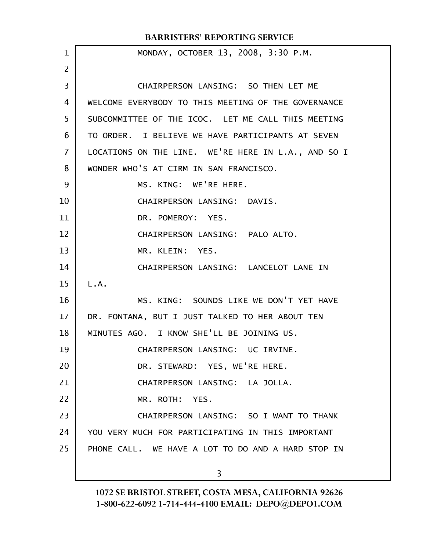| $\mathbf 1$    | MONDAY, OCTOBER 13, 2008, 3:30 P.M.                 |
|----------------|-----------------------------------------------------|
| $\overline{2}$ |                                                     |
| 3              | CHAIRPERSON LANSING: SO THEN LET ME                 |
| 4              | WELCOME EVERYBODY TO THIS MEETING OF THE GOVERNANCE |
| 5              | SUBCOMMITTEE OF THE ICOC. LET ME CALL THIS MEETING  |
| 6              | TO ORDER. I BELIEVE WE HAVE PARTICIPANTS AT SEVEN   |
| 7              | LOCATIONS ON THE LINE. WE'RE HERE IN L.A., AND SO I |
| 8              | WONDER WHO'S AT CIRM IN SAN FRANCISCO.              |
| 9              | MS. KING: WE'RE HERE.                               |
| 10             | CHAIRPERSON LANSING: DAVIS.                         |
| 11             | DR. POMEROY: YES.                                   |
| 12             | CHAIRPERSON LANSING: PALO ALTO.                     |
| 13             | MR. KLEIN: YES.                                     |
| 14             | CHAIRPERSON LANSING: LANCELOT LANE IN               |
| 15             | L.A.                                                |
| 16             | MS. KING: SOUNDS LIKE WE DON'T YET HAVE             |
| 17             | DR. FONTANA, BUT I JUST TALKED TO HER ABOUT TEN     |
| 18             | MINUTES AGO. I KNOW SHE'LL BE JOINING US.           |
| 19             | CHAIRPERSON LANSING: UC IRVINE.                     |
| 20             | DR. STEWARD: YES, WE'RE HERE.                       |
| 21             | CHAIRPERSON LANSING: LA JOLLA.                      |
| 22             | MR. ROTH: YES.                                      |
| 23             | CHAIRPERSON LANSING: SO I WANT TO THANK             |
| 24             | YOU VERY MUCH FOR PARTICIPATING IN THIS IMPORTANT   |
| 25             | PHONE CALL. WE HAVE A LOT TO DO AND A HARD STOP IN  |
|                | 3                                                   |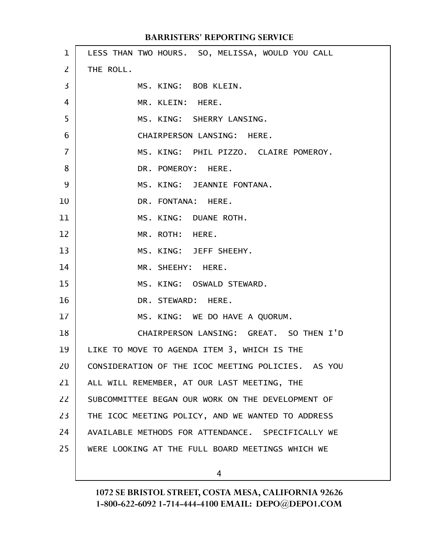| $\mathbf{1}$   | LESS THAN TWO HOURS. SO, MELISSA, WOULD YOU CALL   |
|----------------|----------------------------------------------------|
| 2              | THE ROLL.                                          |
| 3              | MS. KING: BOB KLEIN.                               |
| 4              | MR. KLEIN: HERE.                                   |
| 5              | MS. KING: SHERRY LANSING.                          |
| 6              | CHAIRPERSON LANSING: HERE.                         |
| $\overline{7}$ | MS. KING: PHIL PIZZO. CLAIRE POMEROY.              |
| 8              | DR. POMEROY: HERE.                                 |
| 9              | MS. KING: JEANNIE FONTANA.                         |
| 10             | DR. FONTANA: HERE.                                 |
| 11             | MS. KING: DUANE ROTH.                              |
| 12             | MR. ROTH: HERE.                                    |
| 13             | MS. KING: JEFF SHEEHY.                             |
| 14             | MR. SHEEHY: HERE.                                  |
| 15             | MS. KING: OSWALD STEWARD.                          |
| 16             | DR. STEWARD: HERE.                                 |
| 17             | MS. KING: WE DO HAVE A QUORUM.                     |
| 18             | CHAIRPERSON LANSING: GREAT. SO THEN I'D            |
| 19             | LIKE TO MOVE TO AGENDA ITEM 3, WHICH IS THE        |
| 20             | CONSIDERATION OF THE ICOC MEETING POLICIES. AS YOU |
| 21             | ALL WILL REMEMBER, AT OUR LAST MEETING, THE        |
| 22             | SUBCOMMITTEE BEGAN OUR WORK ON THE DEVELOPMENT OF  |
| 23             | THE ICOC MEETING POLICY, AND WE WANTED TO ADDRESS  |
| 24             | AVAILABLE METHODS FOR ATTENDANCE. SPECIFICALLY WE  |
| 25             | WERE LOOKING AT THE FULL BOARD MEETINGS WHICH WE   |
|                |                                                    |

4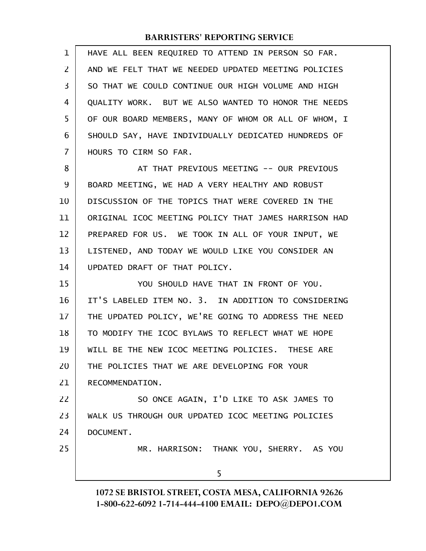| $\mathbf 1$    | HAVE ALL BEEN REQUIRED TO ATTEND IN PERSON SO FAR.   |
|----------------|------------------------------------------------------|
| $\overline{2}$ | AND WE FELT THAT WE NEEDED UPDATED MEETING POLICIES  |
| 3              | SO THAT WE COULD CONTINUE OUR HIGH VOLUME AND HIGH   |
| 4              | QUALITY WORK. BUT WE ALSO WANTED TO HONOR THE NEEDS  |
| 5              | OF OUR BOARD MEMBERS, MANY OF WHOM OR ALL OF WHOM, I |
| 6              | SHOULD SAY, HAVE INDIVIDUALLY DEDICATED HUNDREDS OF  |
| 7              | HOURS TO CIRM SO FAR.                                |
| 8              | AT THAT PREVIOUS MEETING -- OUR PREVIOUS             |
| 9              | BOARD MEETING, WE HAD A VERY HEALTHY AND ROBUST      |
| 10             | DISCUSSION OF THE TOPICS THAT WERE COVERED IN THE    |
| 11             | ORIGINAL ICOC MEETING POLICY THAT JAMES HARRISON HAD |
| 12             | PREPARED FOR US. WE TOOK IN ALL OF YOUR INPUT, WE    |
| 13             | LISTENED, AND TODAY WE WOULD LIKE YOU CONSIDER AN    |
| 14             | UPDATED DRAFT OF THAT POLICY.                        |
| 15             | YOU SHOULD HAVE THAT IN FRONT OF YOU.                |
| 16             | IT'S LABELED ITEM NO. 3. IN ADDITION TO CONSIDERING  |
| 17             | THE UPDATED POLICY, WE'RE GOING TO ADDRESS THE NEED  |
| 18             | TO MODIFY THE ICOC BYLAWS TO REFLECT WHAT WE HOPE    |
| 19             | WILL BE THE NEW ICOC MEETING POLICIES. THESE ARE     |
| 20             | THE POLICIES THAT WE ARE DEVELOPING FOR YOUR         |
| 21             | RECOMMENDATION.                                      |
| 22             | SO ONCE AGAIN, I'D LIKE TO ASK JAMES TO              |
| 23             | WALK US THROUGH OUR UPDATED ICOC MEETING POLICIES    |
| 24             | DOCUMENT.                                            |
| 25             | MR. HARRISON: THANK YOU, SHERRY. AS YOU              |
|                | 5                                                    |
|                |                                                      |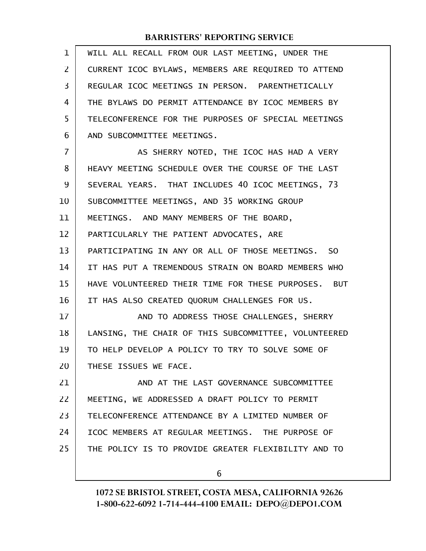| 1              | WILL ALL RECALL FROM OUR LAST MEETING, UNDER THE     |
|----------------|------------------------------------------------------|
| 2              | CURRENT ICOC BYLAWS, MEMBERS ARE REQUIRED TO ATTEND  |
| 3              | REGULAR ICOC MEETINGS IN PERSON. PARENTHETICALLY     |
| 4              | THE BYLAWS DO PERMIT ATTENDANCE BY ICOC MEMBERS BY   |
| 5              | TELECONFERENCE FOR THE PURPOSES OF SPECIAL MEETINGS  |
| 6              | AND SUBCOMMITTEE MEETINGS.                           |
| $\overline{7}$ | AS SHERRY NOTED, THE ICOC HAS HAD A VERY             |
| 8              | HEAVY MEETING SCHEDULE OVER THE COURSE OF THE LAST   |
| 9              | SEVERAL YEARS. THAT INCLUDES 40 ICOC MEETINGS, 73    |
| 10             | SUBCOMMITTEE MEETINGS, AND 35 WORKING GROUP          |
| 11             | MEETINGS. AND MANY MEMBERS OF THE BOARD,             |
| 12             | PARTICULARLY THE PATIENT ADVOCATES, ARE              |
| 13             | PARTICIPATING IN ANY OR ALL OF THOSE MEETINGS. SO    |
| 14             | IT HAS PUT A TREMENDOUS STRAIN ON BOARD MEMBERS WHO  |
| 15             | HAVE VOLUNTEERED THEIR TIME FOR THESE PURPOSES. BUT  |
| 16             | IT HAS ALSO CREATED QUORUM CHALLENGES FOR US.        |
| 17             | AND TO ADDRESS THOSE CHALLENGES, SHERRY              |
| 18             | LANSING, THE CHAIR OF THIS SUBCOMMITTEE, VOLUNTEERED |
| 19             | TO HELP DEVELOP A POLICY TO TRY TO SOLVE SOME OF     |
| 20             | THESE ISSUES WE FACE.                                |
| 21             | AND AT THE LAST GOVERNANCE SUBCOMMITTEE              |
| 22             | MEETING, WE ADDRESSED A DRAFT POLICY TO PERMIT       |
| 23             | TELECONFERENCE ATTENDANCE BY A LIMITED NUMBER OF     |
| 24             | ICOC MEMBERS AT REGULAR MEETINGS. THE PURPOSE OF     |
| 25             | THE POLICY IS TO PROVIDE GREATER FLEXIBILITY AND TO  |
|                | 6                                                    |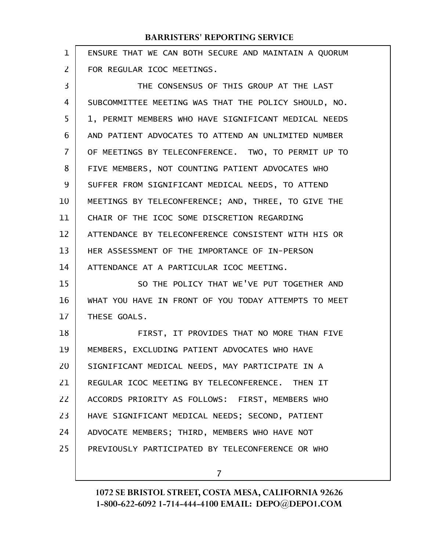| 1  | ENSURE THAT WE CAN BOTH SECURE AND MAINTAIN A QUORUM |
|----|------------------------------------------------------|
| 2  | FOR REGULAR ICOC MEETINGS.                           |
| 3  | THE CONSENSUS OF THIS GROUP AT THE LAST              |
| 4  | SUBCOMMITTEE MEETING WAS THAT THE POLICY SHOULD, NO. |
| 5  | 1, PERMIT MEMBERS WHO HAVE SIGNIFICANT MEDICAL NEEDS |
| 6  | AND PATIENT ADVOCATES TO ATTEND AN UNLIMITED NUMBER  |
| 7  | OF MEETINGS BY TELECONFERENCE. TWO, TO PERMIT UP TO  |
| 8  | FIVE MEMBERS, NOT COUNTING PATIENT ADVOCATES WHO     |
| 9  | SUFFER FROM SIGNIFICANT MEDICAL NEEDS, TO ATTEND     |
| 10 | MEETINGS BY TELECONFERENCE; AND, THREE, TO GIVE THE  |
| 11 | CHAIR OF THE ICOC SOME DISCRETION REGARDING          |
| 12 | ATTENDANCE BY TELECONFERENCE CONSISTENT WITH HIS OR  |
| 13 | HER ASSESSMENT OF THE IMPORTANCE OF IN-PERSON        |
| 14 | ATTENDANCE AT A PARTICULAR ICOC MEETING.             |
| 15 | SO THE POLICY THAT WE'VE PUT TOGETHER AND            |
| 16 | WHAT YOU HAVE IN FRONT OF YOU TODAY ATTEMPTS TO MEET |
| 17 | THESE GOALS.                                         |
| 18 | FIRST, IT PROVIDES THAT NO MORE THAN FIVE            |
| 19 | MEMBERS, EXCLUDING PATIENT ADVOCATES WHO HAVE        |
| 20 | SIGNIFICANT MEDICAL NEEDS, MAY PARTICIPATE IN A      |
| 21 | REGULAR ICOC MEETING BY TELECONFERENCE. THEN IT      |
| 22 | ACCORDS PRIORITY AS FOLLOWS: FIRST, MEMBERS WHO      |
| 23 | HAVE SIGNIFICANT MEDICAL NEEDS; SECOND, PATIENT      |
| 24 | ADVOCATE MEMBERS; THIRD, MEMBERS WHO HAVE NOT        |
| 25 | PREVIOUSLY PARTICIPATED BY TELECONFERENCE OR WHO     |
|    |                                                      |

7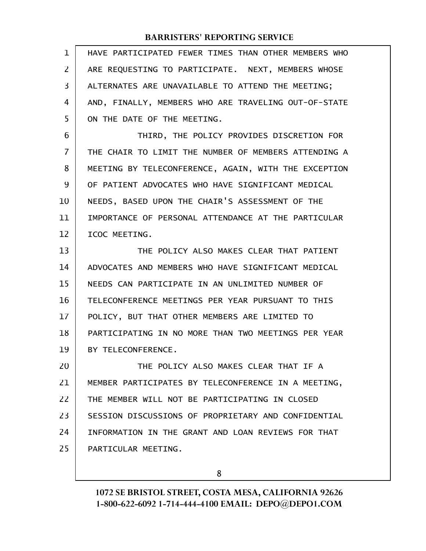| $\mathbf{1}$   | HAVE PARTICIPATED FEWER TIMES THAN OTHER MEMBERS WHO |
|----------------|------------------------------------------------------|
| $\overline{2}$ | ARE REQUESTING TO PARTICIPATE. NEXT, MEMBERS WHOSE   |
| 3              | ALTERNATES ARE UNAVAILABLE TO ATTEND THE MEETING;    |
| 4              | AND, FINALLY, MEMBERS WHO ARE TRAVELING OUT-OF-STATE |
| 5              | ON THE DATE OF THE MEETING.                          |
| 6              | THIRD, THE POLICY PROVIDES DISCRETION FOR            |
| 7              | THE CHAIR TO LIMIT THE NUMBER OF MEMBERS ATTENDING A |
| 8              | MEETING BY TELECONFERENCE, AGAIN, WITH THE EXCEPTION |
| 9              | OF PATIENT ADVOCATES WHO HAVE SIGNIFICANT MEDICAL    |
| 10             | NEEDS, BASED UPON THE CHAIR'S ASSESSMENT OF THE      |
| 11             | IMPORTANCE OF PERSONAL ATTENDANCE AT THE PARTICULAR  |
| 12             | ICOC MEETING.                                        |
| 13             | THE POLICY ALSO MAKES CLEAR THAT PATIENT             |
| 14             | ADVOCATES AND MEMBERS WHO HAVE SIGNIFICANT MEDICAL   |
| 15             | NEEDS CAN PARTICIPATE IN AN UNLIMITED NUMBER OF      |
| 16             | TELECONFERENCE MEETINGS PER YEAR PURSUANT TO THIS    |
| 17             | POLICY, BUT THAT OTHER MEMBERS ARE LIMITED TO        |
| 18             | PARTICIPATING IN NO MORE THAN TWO MEETINGS PER YEAR  |
| 19             | BY TELECONFERENCE.                                   |
| 20             | THE POLICY ALSO MAKES CLEAR THAT IF A                |
| 21             | MEMBER PARTICIPATES BY TELECONFERENCE IN A MEETING,  |
| 22             | THE MEMBER WILL NOT BE PARTICIPATING IN CLOSED       |
| 23             | SESSION DISCUSSIONS OF PROPRIETARY AND CONFIDENTIAL  |
| 24             | INFORMATION IN THE GRANT AND LOAN REVIEWS FOR THAT   |
| 25             | PARTICULAR MEETING.                                  |
|                |                                                      |

8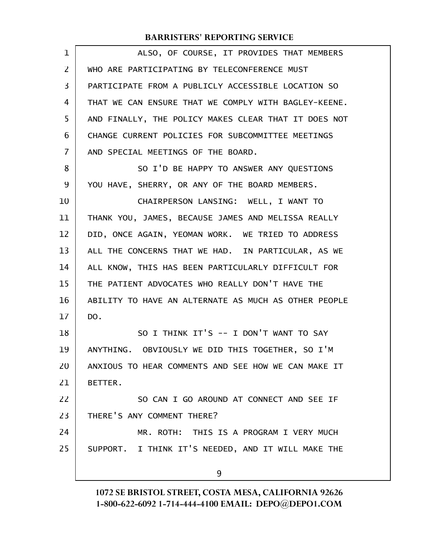| 1              | ALSO, OF COURSE, IT PROVIDES THAT MEMBERS            |
|----------------|------------------------------------------------------|
| 2              | WHO ARE PARTICIPATING BY TELECONFERENCE MUST         |
| 3              | PARTICIPATE FROM A PUBLICLY ACCESSIBLE LOCATION SO   |
| 4              | THAT WE CAN ENSURE THAT WE COMPLY WITH BAGLEY-KEENE. |
| 5              | AND FINALLY, THE POLICY MAKES CLEAR THAT IT DOES NOT |
| 6              | CHANGE CURRENT POLICIES FOR SUBCOMMITTEE MEETINGS    |
| $\overline{7}$ | AND SPECIAL MEETINGS OF THE BOARD.                   |
| 8              | SO I'D BE HAPPY TO ANSWER ANY QUESTIONS              |
| 9              | YOU HAVE, SHERRY, OR ANY OF THE BOARD MEMBERS.       |
| 10             | CHAIRPERSON LANSING: WELL, I WANT TO                 |
| 11             | THANK YOU, JAMES, BECAUSE JAMES AND MELISSA REALLY   |
| 12             | DID, ONCE AGAIN, YEOMAN WORK. WE TRIED TO ADDRESS    |
| 13             | ALL THE CONCERNS THAT WE HAD. IN PARTICULAR, AS WE   |
| 14             | ALL KNOW, THIS HAS BEEN PARTICULARLY DIFFICULT FOR   |
| 15             | THE PATIENT ADVOCATES WHO REALLY DON'T HAVE THE      |
| 16             | ABILITY TO HAVE AN ALTERNATE AS MUCH AS OTHER PEOPLE |
| 17             | DO.                                                  |
| 18             | SO I THINK IT'S -- I DON'T WANT TO SAY               |
| 19             | ANYTHING. OBVIOUSLY WE DID THIS TOGETHER, SO I'M     |
| 20             | ANXIOUS TO HEAR COMMENTS AND SEE HOW WE CAN MAKE IT  |
| 21             | BETTER.                                              |
| 22             | SO CAN I GO AROUND AT CONNECT AND SEE IF             |
| 23             | THERE'S ANY COMMENT THERE?                           |
| 24             | MR. ROTH: THIS IS A PROGRAM I VERY MUCH              |
| 25             | SUPPORT. I THINK IT'S NEEDED, AND IT WILL MAKE THE   |
|                | 9                                                    |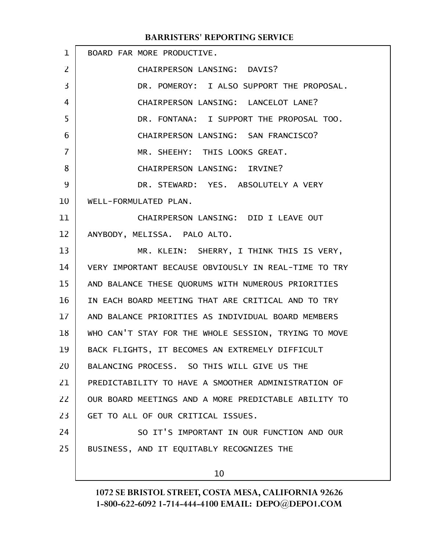| $\mathbf{1}$    | BOARD FAR MORE PRODUCTIVE.                           |
|-----------------|------------------------------------------------------|
| 2               | CHAIRPERSON LANSING: DAVIS?                          |
| 3               | DR. POMEROY: I ALSO SUPPORT THE PROPOSAL.            |
| 4               | CHAIRPERSON LANSING: LANCELOT LANE?                  |
| 5               | DR. FONTANA: I SUPPORT THE PROPOSAL TOO.             |
| 6               | CHAIRPERSON LANSING: SAN FRANCISCO?                  |
| 7               | MR. SHEEHY: THIS LOOKS GREAT.                        |
| 8               | CHAIRPERSON LANSING: IRVINE?                         |
| 9               | DR. STEWARD: YES. ABSOLUTELY A VERY                  |
| 10              | WELL-FORMULATED PLAN.                                |
| 11              | CHAIRPERSON LANSING: DID I LEAVE OUT                 |
| 12              | ANYBODY, MELISSA. PALO ALTO.                         |
| 13              | MR. KLEIN: SHERRY, I THINK THIS IS VERY,             |
| 14              | VERY IMPORTANT BECAUSE OBVIOUSLY IN REAL-TIME TO TRY |
| 15              | AND BALANCE THESE QUORUMS WITH NUMEROUS PRIORITIES   |
| 16              | IN EACH BOARD MEETING THAT ARE CRITICAL AND TO TRY   |
| 17 <sup>1</sup> | AND BALANCE PRIORITIES AS INDIVIDUAL BOARD MEMBERS   |
| 18              | WHO CAN'T STAY FOR THE WHOLE SESSION, TRYING TO MOVE |
| 19              | BACK FLIGHTS, IT BECOMES AN EXTREMELY DIFFICULT      |
| 20              | BALANCING PROCESS. SO THIS WILL GIVE US THE          |
| 21              | PREDICTABILITY TO HAVE A SMOOTHER ADMINISTRATION OF  |
| 22              | OUR BOARD MEETINGS AND A MORE PREDICTABLE ABILITY TO |
| 23              | GET TO ALL OF OUR CRITICAL ISSUES.                   |
| 24              | SO IT'S IMPORTANT IN OUR FUNCTION AND OUR            |
| 25              | BUSINESS, AND IT EQUITABLY RECOGNIZES THE            |
|                 | 10                                                   |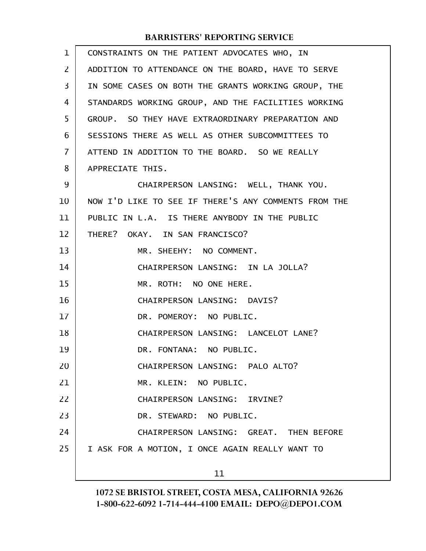| $\mathbf 1$       | CONSTRAINTS ON THE PATIENT ADVOCATES WHO, IN         |
|-------------------|------------------------------------------------------|
| 2                 | ADDITION TO ATTENDANCE ON THE BOARD, HAVE TO SERVE   |
| 3                 | IN SOME CASES ON BOTH THE GRANTS WORKING GROUP, THE  |
| 4                 | STANDARDS WORKING GROUP, AND THE FACILITIES WORKING  |
| 5                 | GROUP. SO THEY HAVE EXTRAORDINARY PREPARATION AND    |
| 6                 | SESSIONS THERE AS WELL AS OTHER SUBCOMMITTEES TO     |
| $\overline{7}$    | ATTEND IN ADDITION TO THE BOARD. SO WE REALLY        |
| 8                 | APPRECIATE THIS.                                     |
| 9                 | CHAIRPERSON LANSING: WELL, THANK YOU.                |
| 10                | NOW I'D LIKE TO SEE IF THERE'S ANY COMMENTS FROM THE |
| 11                | PUBLIC IN L.A. IS THERE ANYBODY IN THE PUBLIC        |
| $12 \overline{ }$ | THERE? OKAY. IN SAN FRANCISCO?                       |
| 13                | MR. SHEEHY: NO COMMENT.                              |
| 14                | CHAIRPERSON LANSING: IN LA JOLLA?                    |
| 15                | MR. ROTH: NO ONE HERE.                               |
| 16                | CHAIRPERSON LANSING: DAVIS?                          |
| 17                | DR. POMEROY: NO PUBLIC.                              |
| 18                | CHAIRPERSON LANSING: LANCELOT LANE?                  |
| 19                | DR. FONTANA: NO PUBLIC.                              |
| 20                | CHAIRPERSON LANSING: PALO ALTO?                      |
| 21                | MR. KLEIN: NO PUBLIC.                                |
| 22                | CHAIRPERSON LANSING: IRVINE?                         |
| 23                | DR. STEWARD: NO PUBLIC.                              |
| 24                | CHAIRPERSON LANSING: GREAT. THEN BEFORE              |
| 25                | I ASK FOR A MOTION, I ONCE AGAIN REALLY WANT TO      |
|                   | 11                                                   |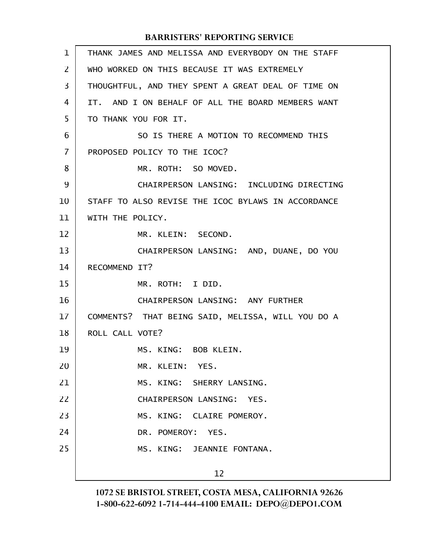| 1  | THANK JAMES AND MELISSA AND EVERYBODY ON THE STAFF |
|----|----------------------------------------------------|
| 2  | WHO WORKED ON THIS BECAUSE IT WAS EXTREMELY        |
| 3  | THOUGHTFUL, AND THEY SPENT A GREAT DEAL OF TIME ON |
| 4  | IT. AND I ON BEHALF OF ALL THE BOARD MEMBERS WANT  |
| 5  | TO THANK YOU FOR IT.                               |
| 6  | SO IS THERE A MOTION TO RECOMMEND THIS             |
| 7  | PROPOSED POLICY TO THE ICOC?                       |
| 8  | MR. ROTH: SO MOVED.                                |
| 9  | CHAIRPERSON LANSING: INCLUDING DIRECTING           |
| 10 | STAFF TO ALSO REVISE THE ICOC BYLAWS IN ACCORDANCE |
| 11 | WITH THE POLICY.                                   |
| 12 | MR. KLEIN: SECOND.                                 |
| 13 | CHAIRPERSON LANSING: AND, DUANE, DO YOU            |
| 14 | RECOMMEND IT?                                      |
| 15 | MR. ROTH: I DID.                                   |
| 16 | CHAIRPERSON LANSING: ANY FURTHER                   |
| 17 | COMMENTS? THAT BEING SAID, MELISSA, WILL YOU DO A  |
| 18 | ROLL CALL VOTE?                                    |
| 19 | MS. KING: BOB KLEIN.                               |
| 20 | MR. KLEIN: YES.                                    |
| 21 | MS. KING: SHERRY LANSING.                          |
| 22 | CHAIRPERSON LANSING: YES.                          |
| 23 | MS. KING: CLAIRE POMEROY.                          |
| 24 | DR. POMEROY: YES.                                  |
| 25 | MS. KING: JEANNIE FONTANA.                         |
|    | 12                                                 |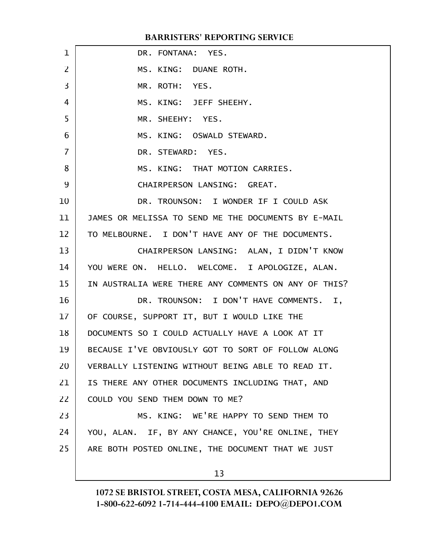| $\mathbf 1$    | DR. FONTANA: YES.                                    |
|----------------|------------------------------------------------------|
| $\overline{2}$ | MS. KING: DUANE ROTH.                                |
| 3              | MR. ROTH: YES.                                       |
| 4              | MS. KING: JEFF SHEEHY.                               |
| 5              | MR. SHEEHY: YES.                                     |
| 6              | MS. KING: OSWALD STEWARD.                            |
| $\overline{7}$ | DR. STEWARD: YES.                                    |
| 8              | MS. KING: THAT MOTION CARRIES.                       |
| 9              | CHAIRPERSON LANSING: GREAT.                          |
| 10             | DR. TROUNSON: I WONDER IF I COULD ASK                |
| 11             | JAMES OR MELISSA TO SEND ME THE DOCUMENTS BY E-MAIL  |
| 12             | TO MELBOURNE. I DON'T HAVE ANY OF THE DOCUMENTS.     |
| 13             | CHAIRPERSON LANSING: ALAN, I DIDN'T KNOW             |
| 14             | YOU WERE ON. HELLO. WELCOME. I APOLOGIZE, ALAN.      |
| 15             | IN AUSTRALIA WERE THERE ANY COMMENTS ON ANY OF THIS? |
| 16             | DR. TROUNSON: I DON'T HAVE COMMENTS. I,              |
| 17             | OF COURSE, SUPPORT IT, BUT I WOULD LIKE THE          |
| 18             | DOCUMENTS SO I COULD ACTUALLY HAVE A LOOK AT IT      |
| 19             | BECAUSE I'VE OBVIOUSLY GOT TO SORT OF FOLLOW ALONG   |
| 20             | VERBALLY LISTENING WITHOUT BEING ABLE TO READ IT.    |
| 21             | IS THERE ANY OTHER DOCUMENTS INCLUDING THAT, AND     |
| 22             | COULD YOU SEND THEM DOWN TO ME?                      |
| 23             | MS. KING: WE'RE HAPPY TO SEND THEM TO                |
| 24             | YOU, ALAN. IF, BY ANY CHANCE, YOU'RE ONLINE, THEY    |
| 25             | ARE BOTH POSTED ONLINE, THE DOCUMENT THAT WE JUST    |
|                | 13                                                   |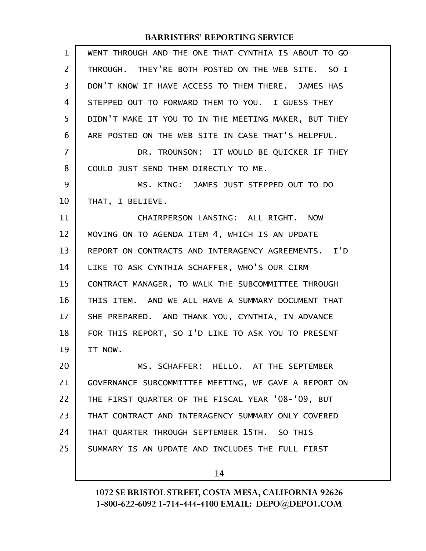| 1              | WENT THROUGH AND THE ONE THAT CYNTHIA IS ABOUT TO GO |
|----------------|------------------------------------------------------|
| $\overline{2}$ | THROUGH. THEY'RE BOTH POSTED ON THE WEB SITE. SO I   |
| 3              | DON'T KNOW IF HAVE ACCESS TO THEM THERE. JAMES HAS   |
| 4              | STEPPED OUT TO FORWARD THEM TO YOU. I GUESS THEY     |
| 5              | DIDN'T MAKE IT YOU TO IN THE MEETING MAKER, BUT THEY |
| 6              | ARE POSTED ON THE WEB SITE IN CASE THAT'S HELPFUL.   |
| $\overline{7}$ | DR. TROUNSON: IT WOULD BE QUICKER IF THEY            |
| 8              | COULD JUST SEND THEM DIRECTLY TO ME.                 |
| 9              | MS. KING: JAMES JUST STEPPED OUT TO DO               |
| 10             | THAT, I BELIEVE.                                     |
| 11             | CHAIRPERSON LANSING: ALL RIGHT. NOW                  |
| 12             | MOVING ON TO AGENDA ITEM 4, WHICH IS AN UPDATE       |
| 13             | REPORT ON CONTRACTS AND INTERAGENCY AGREEMENTS. I'D  |
| 14             | LIKE TO ASK CYNTHIA SCHAFFER, WHO'S OUR CIRM         |
| 15             | CONTRACT MANAGER, TO WALK THE SUBCOMMITTEE THROUGH   |
| 16             | THIS ITEM. AND WE ALL HAVE A SUMMARY DOCUMENT THAT   |
| 17             | SHE PREPARED. AND THANK YOU, CYNTHIA, IN ADVANCE     |
| 18             | FOR THIS REPORT, SO I'D LIKE TO ASK YOU TO PRESENT   |
| 19             | IT NOW.                                              |
| 20             | MS. SCHAFFER: HELLO. AT THE SEPTEMBER                |
| 21             | GOVERNANCE SUBCOMMITTEE MEETING, WE GAVE A REPORT ON |
| 22             | THE FIRST QUARTER OF THE FISCAL YEAR '08-'09, BUT    |
| 23             | THAT CONTRACT AND INTERAGENCY SUMMARY ONLY COVERED   |
| 24             | THAT QUARTER THROUGH SEPTEMBER 15TH. SO THIS         |
| 25             | SUMMARY IS AN UPDATE AND INCLUDES THE FULL FIRST     |
|                | 14                                                   |
|                |                                                      |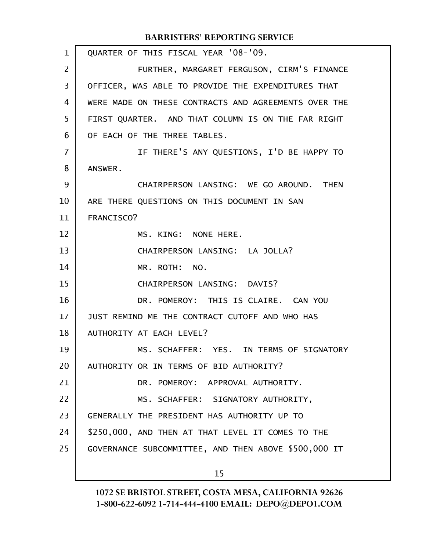QUARTER OF THIS FISCAL YEAR '08-'09. FURTHER, MARGARET FERGUSON, CIRM'S FINANCE OFFICER, WAS ABLE TO PROVIDE THE EXPENDITURES THAT WERE MADE ON THESE CONTRACTS AND AGREEMENTS OVER THE FIRST QUARTER. AND THAT COLUMN IS ON THE FAR RIGHT OF EACH OF THE THREE TABLES. IF THERE'S ANY QUESTIONS, I'D BE HAPPY TO ANSWER. CHAIRPERSON LANSING: WE GO AROUND. THEN ARE THERE QUESTIONS ON THIS DOCUMENT IN SAN FRANCISCO? MS. KING: NONE HERE. CHAIRPERSON LANSING: LA JOLLA? MR. ROTH: NO. CHAIRPERSON LANSING: DAVIS? DR. POMEROY: THIS IS CLAIRE. CAN YOU JUST REMIND ME THE CONTRACT CUTOFF AND WHO HAS AUTHORITY AT EACH LEVEL? MS. SCHAFFER: YES. IN TERMS OF SIGNATORY AUTHORITY OR IN TERMS OF BID AUTHORITY? DR. POMEROY: APPROVAL AUTHORITY. MS. SCHAFFER: SIGNATORY AUTHORITY, GENERALLY THE PRESIDENT HAS AUTHORITY UP TO \$250,000, AND THEN AT THAT LEVEL IT COMES TO THE GOVERNANCE SUBCOMMITTEE, AND THEN ABOVE \$500,000 IT 15 1 2 3 4 5 6 7 8 9 10 11 12 13 14 15 16 17 18 19 20 21 22 23 24 25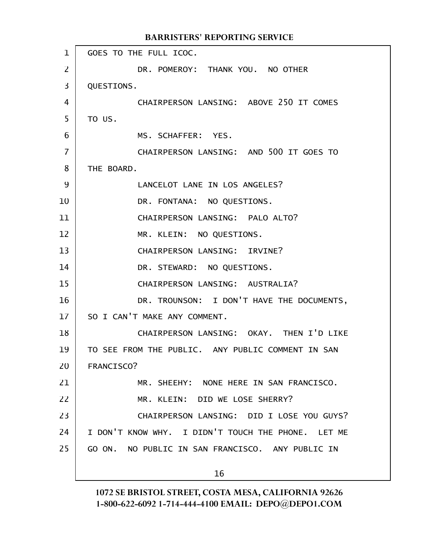GOES TO THE FULL ICOC. DR. POMEROY: THANK YOU. NO OTHER QUESTIONS. CHAIRPERSON LANSING: ABOVE 250 IT COMES TO US. MS. SCHAFFER: YES. CHAIRPERSON LANSING: AND 500 IT GOES TO THE BOARD. LANCELOT LANE IN LOS ANGELES? DR. FONTANA: NO QUESTIONS. CHAIRPERSON LANSING: PALO ALTO? MR. KLEIN: NO QUESTIONS. CHAIRPERSON LANSING: IRVINE? DR. STEWARD: NO QUESTIONS. CHAIRPERSON LANSING: AUSTRALIA? DR. TROUNSON: I DON'T HAVE THE DOCUMENTS, SO I CAN'T MAKE ANY COMMENT. CHAIRPERSON LANSING: OKAY. THEN I'D LIKE TO SEE FROM THE PUBLIC. ANY PUBLIC COMMENT IN SAN FRANCISCO? MR. SHEEHY: NONE HERE IN SAN FRANCISCO. MR. KLEIN: DID WE LOSE SHERRY? CHAIRPERSON LANSING: DID I LOSE YOU GUYS? I DON'T KNOW WHY. I DIDN'T TOUCH THE PHONE. LET ME GO ON. NO PUBLIC IN SAN FRANCISCO. ANY PUBLIC IN 16 BARRISTERS' REPORTING SERVICE 1 2 3 4 5 6 7 8 9 10 11 12 13 14 15 16 17 18 19 20 21 22 23 24 25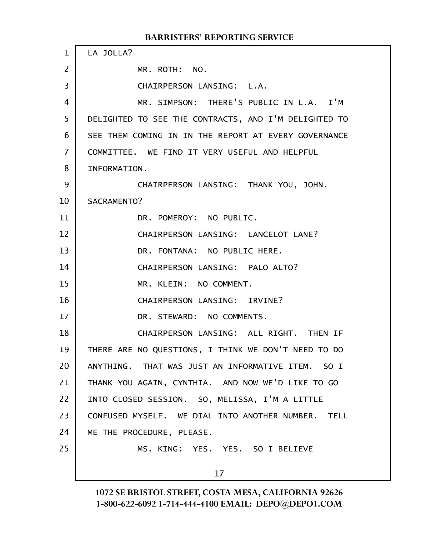LA JOLLA? MR. ROTH: NO. CHAIRPERSON LANSING: L.A. MR. SIMPSON: THERE'S PUBLIC IN L.A. I'M DELIGHTED TO SEE THE CONTRACTS, AND I'M DELIGHTED TO SEE THEM COMING IN IN THE REPORT AT EVERY GOVERNANCE COMMITTEE. WE FIND IT VERY USEFUL AND HELPFUL INFORMATION. CHAIRPERSON LANSING: THANK YOU, JOHN. SACRAMENTO? DR. POMEROY: NO PUBLIC. CHAIRPERSON LANSING: LANCELOT LANE? DR. FONTANA: NO PUBLIC HERE. CHAIRPERSON LANSING: PALO ALTO? MR. KLEIN: NO COMMENT. CHAIRPERSON LANSING: IRVINE? DR. STEWARD: NO COMMENTS. CHAIRPERSON LANSING: ALL RIGHT. THEN IF THERE ARE NO QUESTIONS, I THINK WE DON'T NEED TO DO ANYTHING. THAT WAS JUST AN INFORMATIVE ITEM. SO I THANK YOU AGAIN, CYNTHIA. AND NOW WE'D LIKE TO GO INTO CLOSED SESSION. SO, MELISSA, I'M A LITTLE CONFUSED MYSELF. WE DIAL INTO ANOTHER NUMBER. TELL ME THE PROCEDURE, PLEASE. MS. KING: YES. YES. SO I BELIEVE 17 1 2 3 4 5 6 7 8 9 10 11 12 13 14 15 16 17 18 19 20 21 22 23 24 25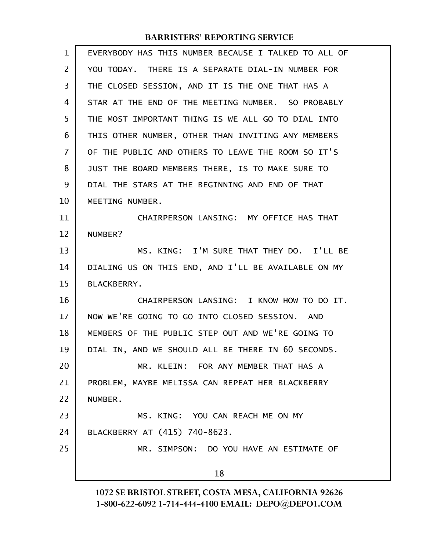| 1              | EVERYBODY HAS THIS NUMBER BECAUSE I TALKED TO ALL OF |
|----------------|------------------------------------------------------|
| $\overline{2}$ | YOU TODAY. THERE IS A SEPARATE DIAL-IN NUMBER FOR    |
| 3              | THE CLOSED SESSION, AND IT IS THE ONE THAT HAS A     |
| 4              | STAR AT THE END OF THE MEETING NUMBER. SO PROBABLY   |
| 5              | THE MOST IMPORTANT THING IS WE ALL GO TO DIAL INTO   |
| 6              | THIS OTHER NUMBER, OTHER THAN INVITING ANY MEMBERS   |
| $\overline{7}$ | OF THE PUBLIC AND OTHERS TO LEAVE THE ROOM SO IT'S   |
| 8              | JUST THE BOARD MEMBERS THERE, IS TO MAKE SURE TO     |
| 9              | DIAL THE STARS AT THE BEGINNING AND END OF THAT      |
| 10             | MEETING NUMBER.                                      |
| 11             | CHAIRPERSON LANSING: MY OFFICE HAS THAT              |
| 12             | NUMBER?                                              |
| 13             | MS. KING: I'M SURE THAT THEY DO. I'LL BE             |
| 14             | DIALING US ON THIS END, AND I'LL BE AVAILABLE ON MY  |
| 15             | <b>BLACKBERRY.</b>                                   |
| 16             | CHAIRPERSON LANSING: I KNOW HOW TO DO IT.            |
| 17             | NOW WE'RE GOING TO GO INTO CLOSED SESSION. AND       |
| 18             | MEMBERS OF THE PUBLIC STEP OUT AND WE'RE GOING TO    |
| 19             | DIAL IN, AND WE SHOULD ALL BE THERE IN 60 SECONDS.   |
| 20             | MR. KLEIN: FOR ANY MEMBER THAT HAS A                 |
| 21             | PROBLEM, MAYBE MELISSA CAN REPEAT HER BLACKBERRY     |
| 22             | NUMBER.                                              |
| 23             | MS. KING: YOU CAN REACH ME ON MY                     |
| 24             | BLACKBERRY AT (415) 740-8623.                        |
| 25             | MR. SIMPSON: DO YOU HAVE AN ESTIMATE OF              |
|                | 18                                                   |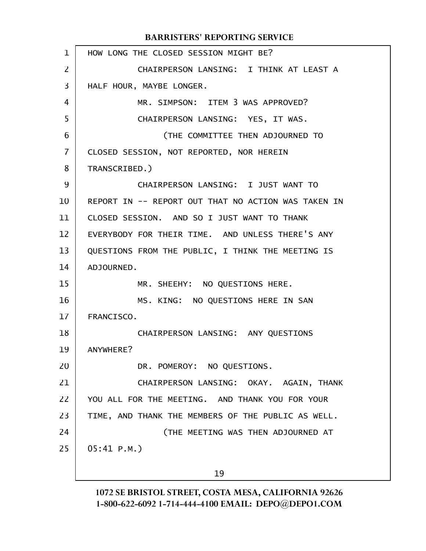HOW LONG THE CLOSED SESSION MIGHT BE? CHAIRPERSON LANSING: I THINK AT LEAST A HALF HOUR, MAYBE LONGER. MR. SIMPSON: ITEM 3 WAS APPROVED? CHAIRPERSON LANSING: YES, IT WAS. (THE COMMITTEE THEN ADJOURNED TO CLOSED SESSION, NOT REPORTED, NOR HEREIN TRANSCRIBED.) CHAIRPERSON LANSING: I JUST WANT TO REPORT IN -- REPORT OUT THAT NO ACTION WAS TAKEN IN CLOSED SESSION. AND SO I JUST WANT TO THANK EVERYBODY FOR THEIR TIME. AND UNLESS THERE'S ANY QUESTIONS FROM THE PUBLIC, I THINK THE MEETING IS ADJOURNED. MR. SHEEHY: NO QUESTIONS HERE. MS. KING: NO QUESTIONS HERE IN SAN FRANCISCO. CHAIRPERSON LANSING: ANY QUESTIONS ANYWHERE? DR. POMEROY: NO QUESTIONS. CHAIRPERSON LANSING: OKAY. AGAIN, THANK YOU ALL FOR THE MEETING. AND THANK YOU FOR YOUR TIME, AND THANK THE MEMBERS OF THE PUBLIC AS WELL. (THE MEETING WAS THEN ADJOURNED AT 05:41 P.M.) 19 1 2 3 4 5 6 7 8 9 10 11 12 13 14 15 16 17 18 19 20 21 22 23 24 25